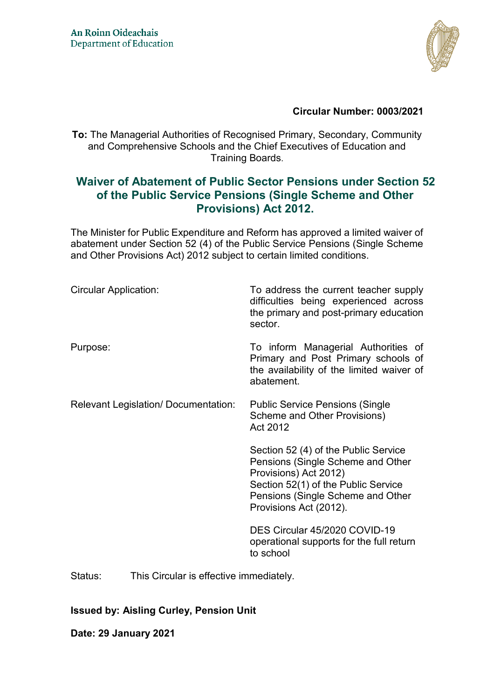

## **Circular Number: 0003/2021**

**To:** The Managerial Authorities of Recognised Primary, Secondary, Community and Comprehensive Schools and the Chief Executives of Education and Training Boards.

# **Waiver of Abatement of Public Sector Pensions under Section 52 of the Public Service Pensions (Single Scheme and Other Provisions) Act 2012.**

The Minister for Public Expenditure and Reform has approved a limited waiver of abatement under Section 52 (4) of the Public Service Pensions (Single Scheme and Other Provisions Act) 2012 subject to certain limited conditions.

| <b>Circular Application:</b>        | To address the current teacher supply<br>difficulties being experienced across<br>the primary and post-primary education<br>sector.                                                                      |
|-------------------------------------|----------------------------------------------------------------------------------------------------------------------------------------------------------------------------------------------------------|
| Purpose:                            | To inform Managerial Authorities of<br>Primary and Post Primary schools of<br>the availability of the limited waiver of<br>abatement.                                                                    |
| Relevant Legislation/Documentation: | <b>Public Service Pensions (Single</b><br>Scheme and Other Provisions)<br>Act 2012                                                                                                                       |
|                                     | Section 52 (4) of the Public Service<br>Pensions (Single Scheme and Other<br>Provisions) Act 2012)<br>Section 52(1) of the Public Service<br>Pensions (Single Scheme and Other<br>Provisions Act (2012). |
|                                     | DES Circular 45/2020 COVID-19<br>operational supports for the full return<br>to school                                                                                                                   |

Status: This Circular is effective immediately.

#### **Issued by: Aisling Curley, Pension Unit**

**Date: 29 January 2021**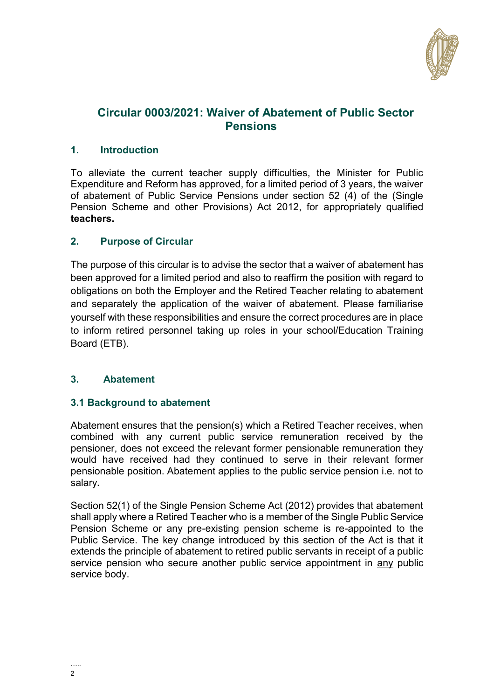

# **Circular 0003/2021: Waiver of Abatement of Public Sector Pensions**

# **1. Introduction**

To alleviate the current teacher supply difficulties, the Minister for Public Expenditure and Reform has approved, for a limited period of 3 years, the waiver of abatement of Public Service Pensions under section 52 (4) of the (Single Pension Scheme and other Provisions) Act 2012, for appropriately qualified **teachers.**

# **2. Purpose of Circular**

The purpose of this circular is to advise the sector that a waiver of abatement has been approved for a limited period and also to reaffirm the position with regard to obligations on both the Employer and the Retired Teacher relating to abatement and separately the application of the waiver of abatement. Please familiarise yourself with these responsibilities and ensure the correct procedures are in place to inform retired personnel taking up roles in your school/Education Training Board (ETB).

# **3. Abatement**

# **3.1 Background to abatement**

Abatement ensures that the pension(s) which a Retired Teacher receives, when combined with any current public service remuneration received by the pensioner, does not exceed the relevant former pensionable remuneration they would have received had they continued to serve in their relevant former pensionable position. Abatement applies to the public service pension i.e. not to salary**.** 

Section 52(1) of the Single Pension Scheme Act (2012) provides that abatement shall apply where a Retired Teacher who is a member of the Single Public Service Pension Scheme or any pre-existing pension scheme is re-appointed to the Public Service. The key change introduced by this section of the Act is that it extends the principle of abatement to retired public servants in receipt of a public service pension who secure another public service appointment in any public service body.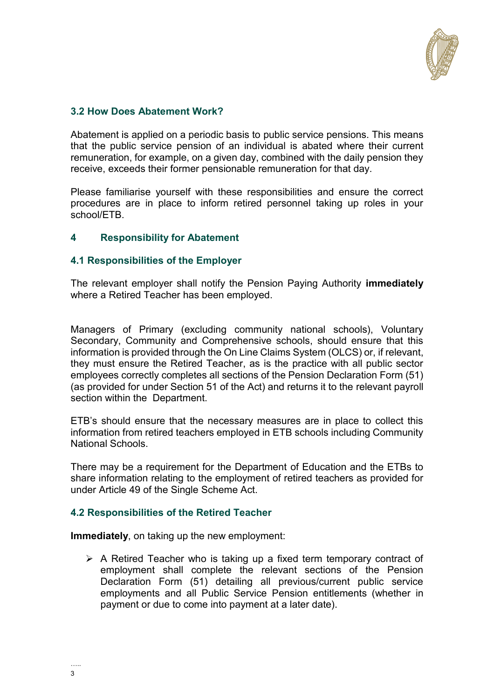

## **3.2 How Does Abatement Work?**

Abatement is applied on a periodic basis to public service pensions. This means that the public service pension of an individual is abated where their current remuneration, for example, on a given day, combined with the daily pension they receive, exceeds their former pensionable remuneration for that day.

Please familiarise yourself with these responsibilities and ensure the correct procedures are in place to inform retired personnel taking up roles in your school/ETB.

#### **4 Responsibility for Abatement**

#### **4.1 Responsibilities of the Employer**

The relevant employer shall notify the Pension Paying Authority **immediately** where a Retired Teacher has been employed.

Managers of Primary (excluding community national schools), Voluntary Secondary, Community and Comprehensive schools, should ensure that this information is provided through the On Line Claims System (OLCS) or, if relevant, they must ensure the Retired Teacher, as is the practice with all public sector employees correctly completes all sections of the Pension Declaration Form (51) (as provided for under Section 51 of the Act) and returns it to the relevant payroll section within the Department.

ETB's should ensure that the necessary measures are in place to collect this information from retired teachers employed in ETB schools including Community National Schools.

There may be a requirement for the Department of Education and the ETBs to share information relating to the employment of retired teachers as provided for under Article 49 of the Single Scheme Act.

#### **4.2 Responsibilities of the Retired Teacher**

**Immediately**, on taking up the new employment:

 $\triangleright$  A Retired Teacher who is taking up a fixed term temporary contract of employment shall complete the relevant sections of the Pension Declaration Form (51) detailing all previous/current public service employments and all Public Service Pension entitlements (whether in payment or due to come into payment at a later date).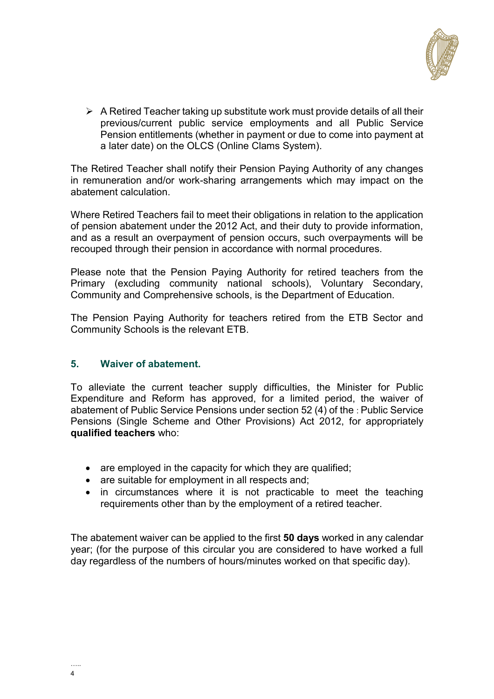

 $\triangleright$  A Retired Teacher taking up substitute work must provide details of all their previous/current public service employments and all Public Service Pension entitlements (whether in payment or due to come into payment at a later date) on the OLCS (Online Clams System).

The Retired Teacher shall notify their Pension Paying Authority of any changes in remuneration and/or work-sharing arrangements which may impact on the abatement calculation.

Where Retired Teachers fail to meet their obligations in relation to the application of pension abatement under the 2012 Act, and their duty to provide information, and as a result an overpayment of pension occurs, such overpayments will be recouped through their pension in accordance with normal procedures.

Please note that the Pension Paying Authority for retired teachers from the Primary (excluding community national schools), Voluntary Secondary, Community and Comprehensive schools, is the Department of Education.

The Pension Paying Authority for teachers retired from the ETB Sector and Community Schools is the relevant ETB.

#### **5. Waiver of abatement.**

To alleviate the current teacher supply difficulties, the Minister for Public Expenditure and Reform has approved, for a limited period, the waiver of abatement of Public Service Pensions under section 52 (4) of the : Public Service Pensions (Single Scheme and Other Provisions) Act 2012, for appropriately **qualified teachers** who:

- are employed in the capacity for which they are qualified;
- are suitable for employment in all respects and;
- in circumstances where it is not practicable to meet the teaching requirements other than by the employment of a retired teacher.

The abatement waiver can be applied to the first **50 days** worked in any calendar year; (for the purpose of this circular you are considered to have worked a full day regardless of the numbers of hours/minutes worked on that specific day).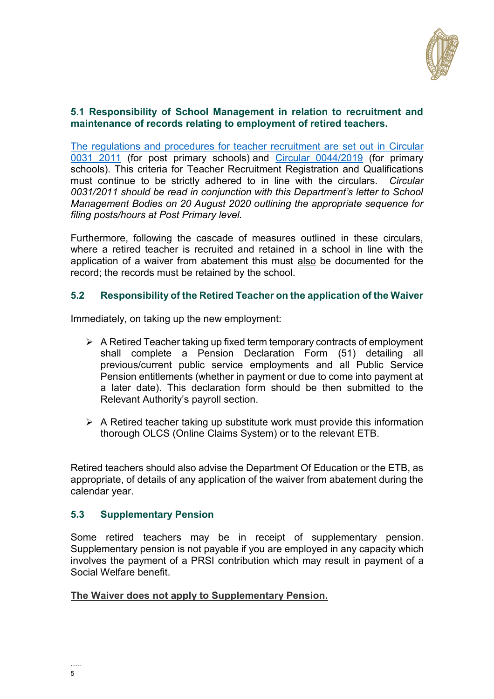

#### **5.1 Responsibility of School Management in relation to recruitment and maintenance of records relating to employment of retired teachers.**

The regulations and procedures for teacher recruitment are set out in [Circular](https://www.education.ie/en/Circulars-and-Forms/Active-Circulars/cl0031_2011.pdf)  [0031 2011](https://www.education.ie/en/Circulars-and-Forms/Active-Circulars/cl0031_2011.pdf) (for post primary schools) and [Circular 0044/2019](https://www.education.ie/en/Circulars-and-Forms/Active-Circulars/cl0044_2019.pdf) (for primary schools). This criteria for Teacher Recruitment Registration and Qualifications must continue to be strictly adhered to in line with the circulars. *Circular 0031/2011 should be read in conjunction with this Department's letter to School Management Bodies on 20 August 2020 outlining the appropriate sequence for filing posts/hours at Post Primary level.* 

Furthermore, following the cascade of measures outlined in these circulars, where a retired teacher is recruited and retained in a school in line with the application of a waiver from abatement this must also be documented for the record; the records must be retained by the school.

## **5.2 Responsibility of the Retired Teacher on the application of the Waiver**

Immediately, on taking up the new employment:

- $\triangleright$  A Retired Teacher taking up fixed term temporary contracts of employment shall complete a Pension Declaration Form (51) detailing all previous/current public service employments and all Public Service Pension entitlements (whether in payment or due to come into payment at a later date). This declaration form should be then submitted to the Relevant Authority's payroll section.
- $\triangleright$  A Retired teacher taking up substitute work must provide this information thorough OLCS (Online Claims System) or to the relevant ETB.

Retired teachers should also advise the Department Of Education or the ETB, as appropriate, of details of any application of the waiver from abatement during the calendar year.

#### **5.3 Supplementary Pension**

Some retired teachers may be in receipt of supplementary pension. Supplementary pension is not payable if you are employed in any capacity which involves the payment of a PRSI contribution which may result in payment of a Social Welfare benefit.

**The Waiver does not apply to Supplementary Pension.**